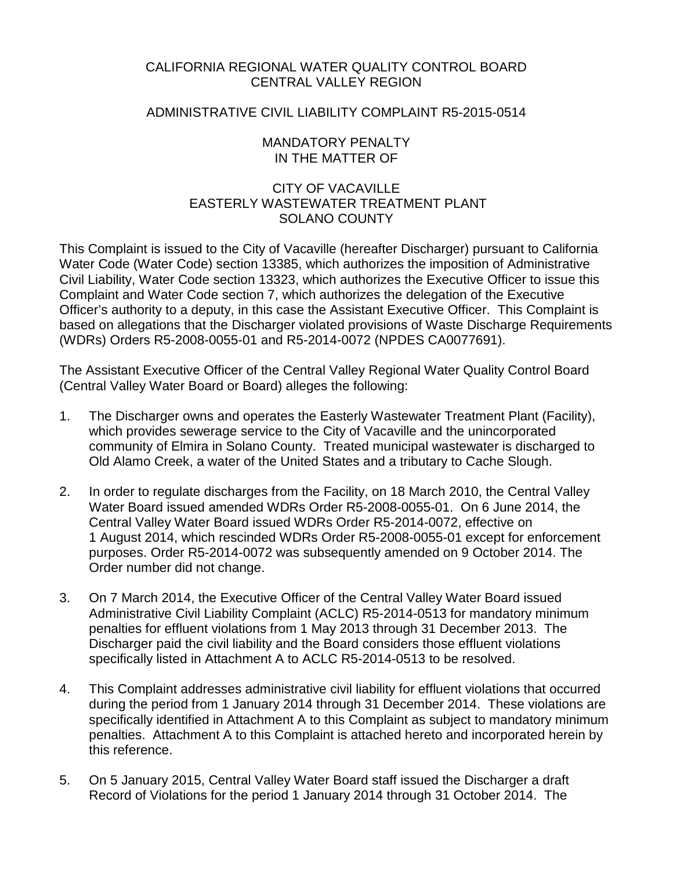## CALIFORNIA REGIONAL WATER QUALITY CONTROL BOARD CENTRAL VALLEY REGION

## ADMINISTRATIVE CIVIL LIABILITY COMPLAINT R5-2015-0514

### MANDATORY PENALTY IN THE MATTER OF

## CITY OF VACAVILLE EASTERLY WASTEWATER TREATMENT PLANT SOLANO COUNTY

This Complaint is issued to the City of Vacaville (hereafter Discharger) pursuant to California Water Code (Water Code) section 13385, which authorizes the imposition of Administrative Civil Liability, Water Code section 13323, which authorizes the Executive Officer to issue this Complaint and Water Code section 7, which authorizes the delegation of the Executive Officer's authority to a deputy, in this case the Assistant Executive Officer. This Complaint is based on allegations that the Discharger violated provisions of Waste Discharge Requirements (WDRs) Orders R5-2008-0055-01 and R5-2014-0072 (NPDES CA0077691).

The Assistant Executive Officer of the Central Valley Regional Water Quality Control Board (Central Valley Water Board or Board) alleges the following:

- 1. The Discharger owns and operates the Easterly Wastewater Treatment Plant (Facility), which provides sewerage service to the City of Vacaville and the unincorporated community of Elmira in Solano County. Treated municipal wastewater is discharged to Old Alamo Creek, a water of the United States and a tributary to Cache Slough.
- 2. In order to regulate discharges from the Facility, on 18 March 2010, the Central Valley Water Board issued amended WDRs Order R5-2008-0055-01. On 6 June 2014, the Central Valley Water Board issued WDRs Order R5-2014-0072, effective on 1 August 2014, which rescinded WDRs Order R5-2008-0055-01 except for enforcement purposes. Order R5-2014-0072 was subsequently amended on 9 October 2014. The Order number did not change.
- 3. On 7 March 2014, the Executive Officer of the Central Valley Water Board issued Administrative Civil Liability Complaint (ACLC) R5-2014-0513 for mandatory minimum penalties for effluent violations from 1 May 2013 through 31 December 2013. The Discharger paid the civil liability and the Board considers those effluent violations specifically listed in Attachment A to ACLC R5-2014-0513 to be resolved.
- 4. This Complaint addresses administrative civil liability for effluent violations that occurred during the period from 1 January 2014 through 31 December 2014. These violations are specifically identified in Attachment A to this Complaint as subject to mandatory minimum penalties. Attachment A to this Complaint is attached hereto and incorporated herein by this reference.
- 5. On 5 January 2015, Central Valley Water Board staff issued the Discharger a draft Record of Violations for the period 1 January 2014 through 31 October 2014. The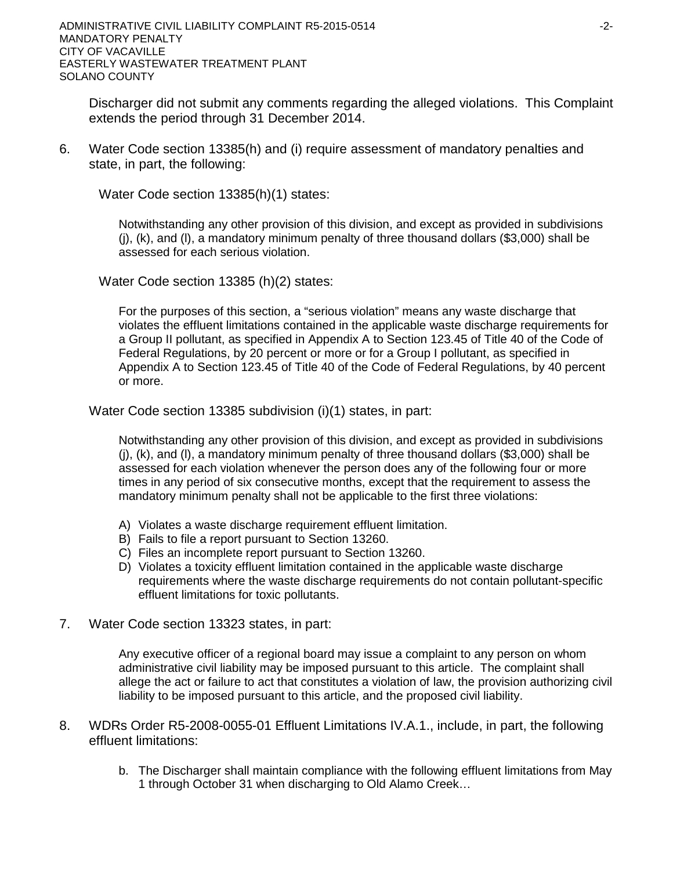Discharger did not submit any comments regarding the alleged violations. This Complaint extends the period through 31 December 2014.

6. Water Code section 13385(h) and (i) require assessment of mandatory penalties and state, in part, the following:

Water Code section 13385(h)(1) states:

Notwithstanding any other provision of this division, and except as provided in subdivisions  $(i)$ ,  $(k)$ , and  $(l)$ , a mandatory minimum penalty of three thousand dollars (\$3,000) shall be assessed for each serious violation.

Water Code section 13385 (h)(2) states:

For the purposes of this section, a "serious violation" means any waste discharge that violates the effluent limitations contained in the applicable waste discharge requirements for a Group II pollutant, as specified in Appendix A to Section 123.45 of Title 40 of the Code of Federal Regulations, by 20 percent or more or for a Group I pollutant, as specified in Appendix A to Section 123.45 of Title 40 of the Code of Federal Regulations, by 40 percent or more.

Water Code section 13385 subdivision (i)(1) states, in part:

Notwithstanding any other provision of this division, and except as provided in subdivisions (j), (k), and (l), a mandatory minimum penalty of three thousand dollars (\$3,000) shall be assessed for each violation whenever the person does any of the following four or more times in any period of six consecutive months, except that the requirement to assess the mandatory minimum penalty shall not be applicable to the first three violations:

- A) Violates a waste discharge requirement effluent limitation.
- B) Fails to file a report pursuant to Section 13260.
- C) Files an incomplete report pursuant to Section 13260.
- D) Violates a toxicity effluent limitation contained in the applicable waste discharge requirements where the waste discharge requirements do not contain pollutant-specific effluent limitations for toxic pollutants.
- 7. Water Code section 13323 states, in part:

Any executive officer of a regional board may issue a complaint to any person on whom administrative civil liability may be imposed pursuant to this article. The complaint shall allege the act or failure to act that constitutes a violation of law, the provision authorizing civil liability to be imposed pursuant to this article, and the proposed civil liability.

- 8. WDRs Order R5-2008-0055-01 Effluent Limitations IV.A.1., include, in part, the following effluent limitations:
	- b. The Discharger shall maintain compliance with the following effluent limitations from May 1 through October 31 when discharging to Old Alamo Creek…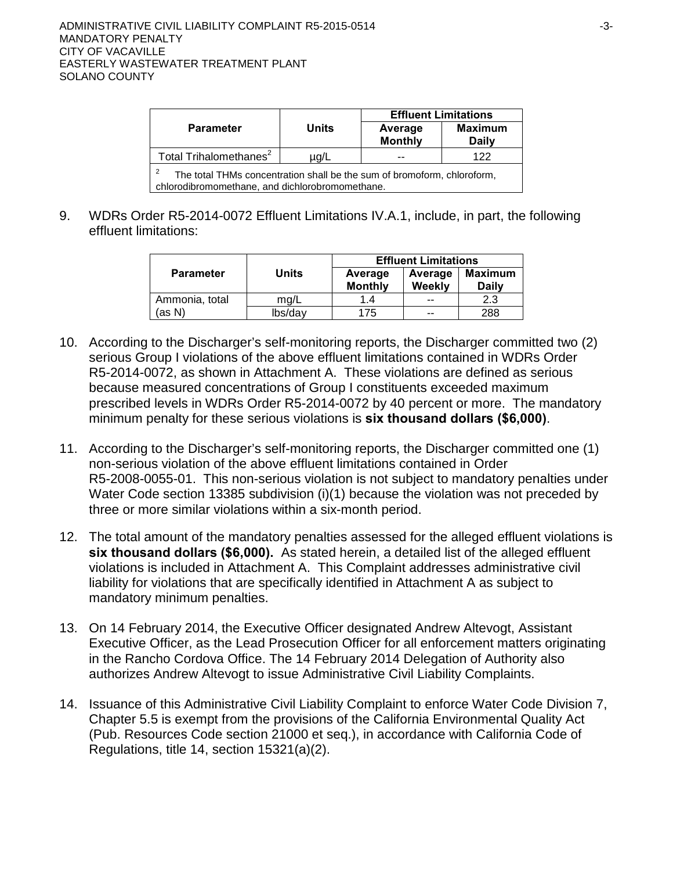|                                                                                                                                  |              | <b>Effluent Limitations</b> |                                |  |  |  |
|----------------------------------------------------------------------------------------------------------------------------------|--------------|-----------------------------|--------------------------------|--|--|--|
| <b>Parameter</b>                                                                                                                 | <b>Units</b> | Average<br><b>Monthly</b>   | <b>Maximum</b><br><b>Daily</b> |  |  |  |
| Total Trihalomethanes <sup>2</sup>                                                                                               | ua/L         |                             | 122                            |  |  |  |
| -2<br>The total THMs concentration shall be the sum of bromoform, chloroform,<br>chlorodibromomethane, and dichlorobromomethane. |              |                             |                                |  |  |  |

9. WDRs Order R5-2014-0072 Effluent Limitations IV.A.1, include, in part, the following effluent limitations:

|                  |         | <b>Effluent Limitations</b> |                   |                         |  |  |
|------------------|---------|-----------------------------|-------------------|-------------------------|--|--|
| <b>Parameter</b> | Units   | Average<br><b>Monthly</b>   | Average<br>Weekly | Maximum<br><b>Daily</b> |  |  |
| Ammonia, total   | ma/L    | 1.4                         | --                | 2.3                     |  |  |
| (as N)           | lbs/day | 175                         | --                | 288                     |  |  |

- 10. According to the Discharger's self-monitoring reports, the Discharger committed two (2) serious Group I violations of the above effluent limitations contained in WDRs Order R5-2014-0072, as shown in Attachment A. These violations are defined as serious because measured concentrations of Group I constituents exceeded maximum prescribed levels in WDRs Order R5-2014-0072 by 40 percent or more. The mandatory minimum penalty for these serious violations is **six thousand dollars (\$6,000)**.
- 11. According to the Discharger's self-monitoring reports, the Discharger committed one (1) non-serious violation of the above effluent limitations contained in Order R5-2008-0055-01. This non-serious violation is not subject to mandatory penalties under Water Code section 13385 subdivision (i)(1) because the violation was not preceded by three or more similar violations within a six-month period.
- 12. The total amount of the mandatory penalties assessed for the alleged effluent violations is **six thousand dollars (\$6,000).** As stated herein, a detailed list of the alleged effluent violations is included in Attachment A. This Complaint addresses administrative civil liability for violations that are specifically identified in Attachment A as subject to mandatory minimum penalties.
- 13. On 14 February 2014, the Executive Officer designated Andrew Altevogt, Assistant Executive Officer, as the Lead Prosecution Officer for all enforcement matters originating in the Rancho Cordova Office. The 14 February 2014 Delegation of Authority also authorizes Andrew Altevogt to issue Administrative Civil Liability Complaints.
- 14. Issuance of this Administrative Civil Liability Complaint to enforce Water Code Division 7, Chapter 5.5 is exempt from the provisions of the California Environmental Quality Act (Pub. Resources Code section 21000 et seq.), in accordance with California Code of Regulations, title 14, section 15321(a)(2).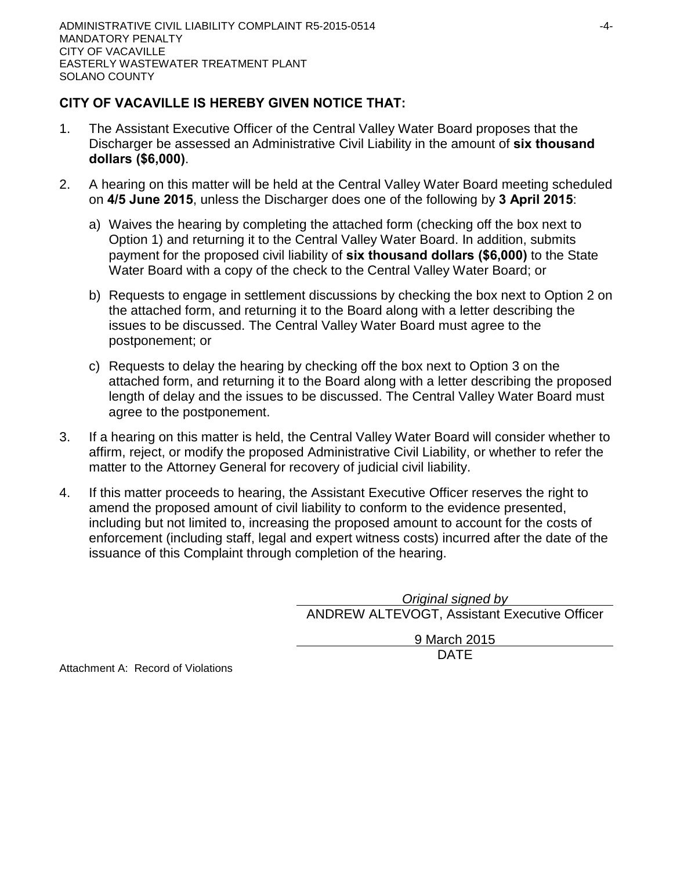# **CITY OF VACAVILLE IS HEREBY GIVEN NOTICE THAT:**

- 1. The Assistant Executive Officer of the Central Valley Water Board proposes that the Discharger be assessed an Administrative Civil Liability in the amount of **six thousand dollars (\$6,000)**.
- 2. A hearing on this matter will be held at the Central Valley Water Board meeting scheduled on **4/5 June 2015**, unless the Discharger does one of the following by **3 April 2015**:
	- a) Waives the hearing by completing the attached form (checking off the box next to Option 1) and returning it to the Central Valley Water Board. In addition, submits payment for the proposed civil liability of **six thousand dollars (\$6,000)** to the State Water Board with a copy of the check to the Central Valley Water Board; or
	- b) Requests to engage in settlement discussions by checking the box next to Option 2 on the attached form, and returning it to the Board along with a letter describing the issues to be discussed. The Central Valley Water Board must agree to the postponement; or
	- c) Requests to delay the hearing by checking off the box next to Option 3 on the attached form, and returning it to the Board along with a letter describing the proposed length of delay and the issues to be discussed. The Central Valley Water Board must agree to the postponement.
- 3. If a hearing on this matter is held, the Central Valley Water Board will consider whether to affirm, reject, or modify the proposed Administrative Civil Liability, or whether to refer the matter to the Attorney General for recovery of judicial civil liability.
- 4. If this matter proceeds to hearing, the Assistant Executive Officer reserves the right to amend the proposed amount of civil liability to conform to the evidence presented, including but not limited to, increasing the proposed amount to account for the costs of enforcement (including staff, legal and expert witness costs) incurred after the date of the issuance of this Complaint through completion of the hearing.

*Original signed by* ANDREW ALTEVOGT, Assistant Executive Officer

> 9 March 2015 DATE

Attachment A: Record of Violations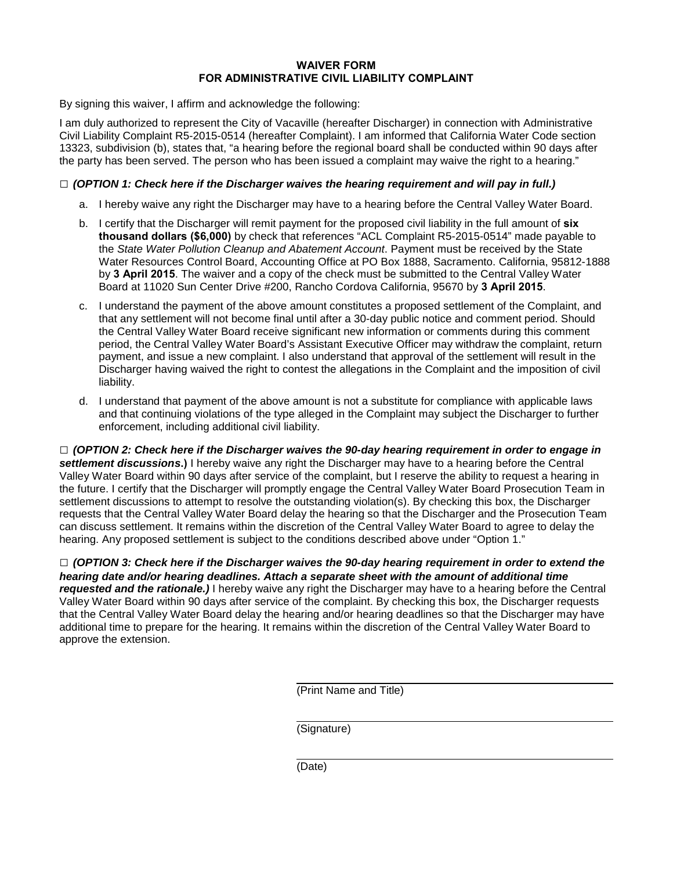#### **WAIVER FORM FOR ADMINISTRATIVE CIVIL LIABILITY COMPLAINT**

By signing this waiver, I affirm and acknowledge the following:

I am duly authorized to represent the City of Vacaville (hereafter Discharger) in connection with Administrative Civil Liability Complaint R5-2015-0514 (hereafter Complaint). I am informed that California Water Code section 13323, subdivision (b), states that, "a hearing before the regional board shall be conducted within 90 days after the party has been served. The person who has been issued a complaint may waive the right to a hearing."

### **□** *(OPTION 1: Check here if the Discharger waives the hearing requirement and will pay in full.)*

- a. I hereby waive any right the Discharger may have to a hearing before the Central Valley Water Board.
- b. I certify that the Discharger will remit payment for the proposed civil liability in the full amount of **six thousand dollars (\$6,000)** by check that references "ACL Complaint R5-2015-0514" made payable to the *State Water Pollution Cleanup and Abatement Account*. Payment must be received by the State Water Resources Control Board, Accounting Office at PO Box 1888, Sacramento. California, 95812-1888 by **3 April 2015**. The waiver and a copy of the check must be submitted to the Central Valley Water Board at 11020 Sun Center Drive #200, Rancho Cordova California, 95670 by **3 April 2015**.
- c. I understand the payment of the above amount constitutes a proposed settlement of the Complaint, and that any settlement will not become final until after a 30-day public notice and comment period. Should the Central Valley Water Board receive significant new information or comments during this comment period, the Central Valley Water Board's Assistant Executive Officer may withdraw the complaint, return payment, and issue a new complaint. I also understand that approval of the settlement will result in the Discharger having waived the right to contest the allegations in the Complaint and the imposition of civil liability.
- d. I understand that payment of the above amount is not a substitute for compliance with applicable laws and that continuing violations of the type alleged in the Complaint may subject the Discharger to further enforcement, including additional civil liability.

**□** *(OPTION 2: Check here if the Discharger waives the 90-day hearing requirement in order to engage in settlement discussions***.)** I hereby waive any right the Discharger may have to a hearing before the Central Valley Water Board within 90 days after service of the complaint, but I reserve the ability to request a hearing in the future. I certify that the Discharger will promptly engage the Central Valley Water Board Prosecution Team in settlement discussions to attempt to resolve the outstanding violation(s). By checking this box, the Discharger requests that the Central Valley Water Board delay the hearing so that the Discharger and the Prosecution Team can discuss settlement. It remains within the discretion of the Central Valley Water Board to agree to delay the hearing. Any proposed settlement is subject to the conditions described above under "Option 1."

**□** *(OPTION 3: Check here if the Discharger waives the 90-day hearing requirement in order to extend the hearing date and/or hearing deadlines. Attach a separate sheet with the amount of additional time requested and the rationale.)* I hereby waive any right the Discharger may have to a hearing before the Central Valley Water Board within 90 days after service of the complaint. By checking this box, the Discharger requests that the Central Valley Water Board delay the hearing and/or hearing deadlines so that the Discharger may have additional time to prepare for the hearing. It remains within the discretion of the Central Valley Water Board to approve the extension.

(Print Name and Title)

(Signature)

(Date)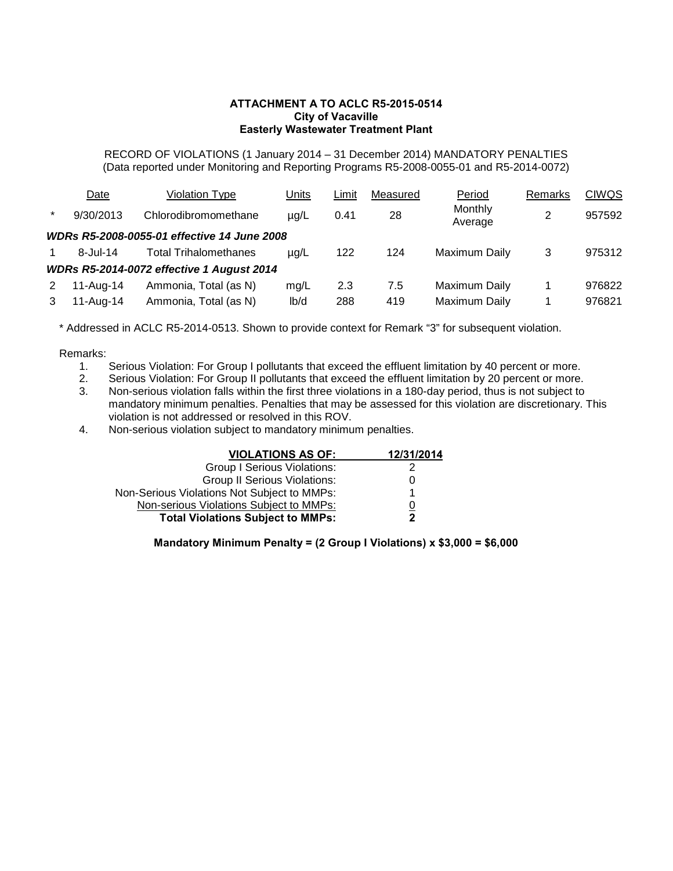#### **ATTACHMENT A TO ACLC R5-2015-0514 City of Vacaville Easterly Wastewater Treatment Plant**

RECORD OF VIOLATIONS (1 January 2014 – 31 December 2014) MANDATORY PENALTIES (Data reported under Monitoring and Reporting Programs R5-2008-0055-01 and R5-2014-0072)

|         | Date            | <b>Violation Type</b>                            | Units     | Limit | Measured | Period             | Remarks | <b>CIWQS</b> |
|---------|-----------------|--------------------------------------------------|-----------|-------|----------|--------------------|---------|--------------|
| $\star$ | 9/30/2013       | Chlorodibromomethane                             | $\mu$ g/L | 0.41  | 28       | Monthly<br>Average | 2       | 957592       |
|         |                 | WDRs R5-2008-0055-01 effective 14 June 2008      |           |       |          |                    |         |              |
|         | $8 -$ Jul $-14$ | <b>Total Trihalomethanes</b>                     | $\mu q/L$ | 122   | 124      | Maximum Daily      | 3       | 975312       |
|         |                 | <b>WDRs R5-2014-0072 effective 1 August 2014</b> |           |       |          |                    |         |              |
| 2       | 11-Aug-14       | Ammonia, Total (as N)                            | mq/L      | 2.3   | 7.5      | Maximum Daily      |         | 976822       |
| 3       | 11-Aug-14       | Ammonia, Total (as N)                            | lb/d      | 288   | 419      | Maximum Daily      |         | 976821       |

\* Addressed in ACLC R5-2014-0513. Shown to provide context for Remark "3" for subsequent violation.

### Remarks:

- 1. Serious Violation: For Group I pollutants that exceed the effluent limitation by 40 percent or more.
- 2. Serious Violation: For Group II pollutants that exceed the effluent limitation by 20 percent or more.
- 3. Non-serious violation falls within the first three violations in a 180-day period, thus is not subject to mandatory minimum penalties. Penalties that may be assessed for this violation are discretionary. This violation is not addressed or resolved in this ROV.
- 4. Non-serious violation subject to mandatory minimum penalties.

| <b>VIOLATIONS AS OF:</b>                    | 12/31/2014 |
|---------------------------------------------|------------|
| <b>Group I Serious Violations:</b>          |            |
| <b>Group II Serious Violations:</b>         | 0          |
| Non-Serious Violations Not Subject to MMPs: |            |
| Non-serious Violations Subject to MMPs:     | 0          |
| <b>Total Violations Subject to MMPs:</b>    | 2          |

**Mandatory Minimum Penalty = (2 Group I Violations) x \$3,000 = \$6,000**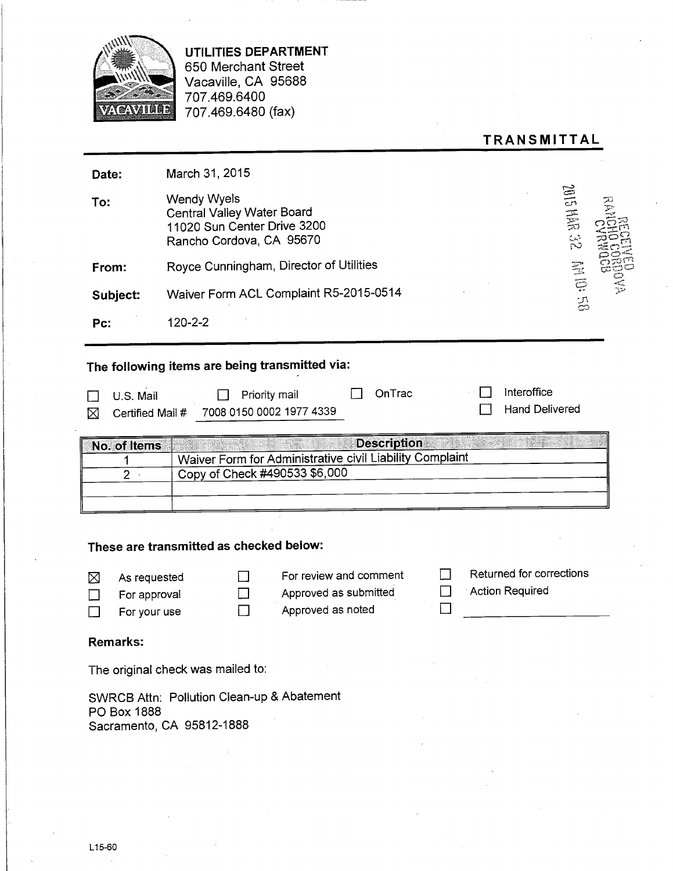

UTILITIES DEPARTMENT 650 Merchant Street Vacaville, CA 95688 707.469.6400 707.469.6480 (fax)

| <b>TRANSMITTAL</b> |  |
|--------------------|--|
|--------------------|--|

| Date:                              | March 31, 2015                                                                                                            |
|------------------------------------|---------------------------------------------------------------------------------------------------------------------------|
| To:                                | 28.3443102<br><b>Wendy Wyels</b><br>Central Valley Water Board<br>11020 Sun Center Drive 3200<br>Rancho Cordova, CA 95670 |
| From:                              | Royce Cunningham, Director of Utilities                                                                                   |
| Subject:                           | <b>BS 101 HB</b><br>Waiver Form ACL Complaint R5-2015-0514                                                                |
| Pc:                                | $120 - 2 - 2$                                                                                                             |
|                                    | The following items are being transmitted via:                                                                            |
| U.S. Mail<br>Certified Mail #<br>⋈ | Interoffice<br>OnTrac<br>Priority mail<br><b>Hand Delivered</b><br>7008 0150 0002 1977 4339                               |
| No. of Items                       | <b>Description</b>                                                                                                        |
|                                    | Waiver Form for Administrative civil Liability Complaint                                                                  |
| $\overline{2}$                     | Copy of Check #490533 \$6,000                                                                                             |
|                                    |                                                                                                                           |
|                                    |                                                                                                                           |
|                                    |                                                                                                                           |

## These are transmitted as checked below:

| ⊠      | As requested |              |
|--------|--------------|--------------|
| $\Box$ | For approval | $\mathbf{L}$ |
| $\Box$ | For your use | ΙI           |

For review and comment Approved as submitted

Approved as noted

- Returned for corrections
- $\Box$ Action Required

 $\Box$ 

 $\Box$ 

### **Remarks:**

The original check was mailed to:

SWRCB Attn: Pollution Clean-up & Abatement PO Box 1888 Sacramento, CA 95812-1888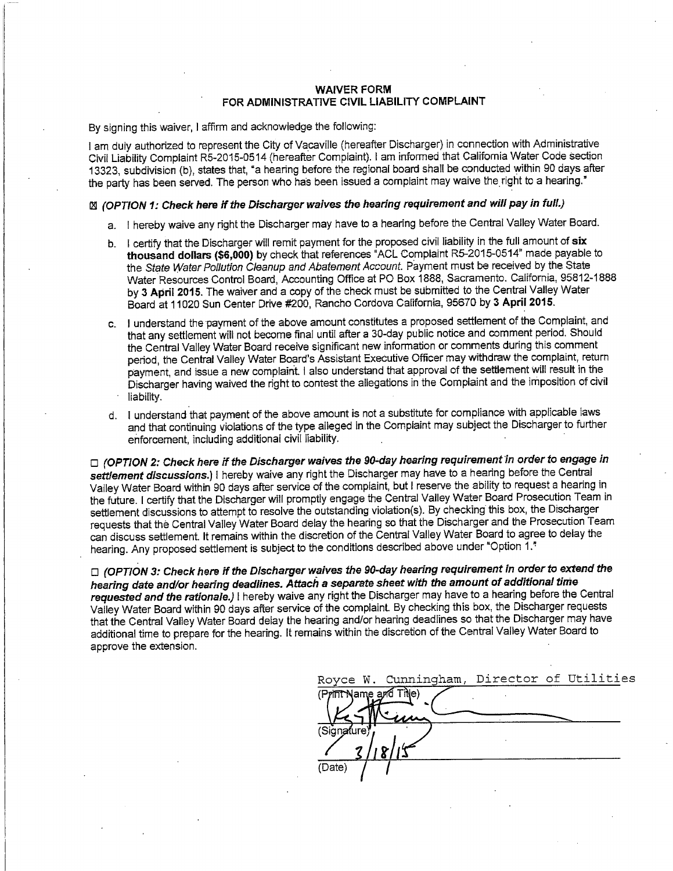#### **WAIVER FORM** FOR ADMINISTRATIVE CIVIL LIABILITY COMPLAINT

By signing this waiver, I affirm and acknowledge the following:

I am duly authorized to represent the City of Vacaville (hereafter Discharger) in connection with Administrative Civil Liability Complaint R5-2015-0514 (hereafter Complaint). I am informed that California Water Code section 13323, subdivision (b), states that, "a hearing before the regional board shall be conducted within 90 days after the party has been served. The person who has been issued a complaint may waive the right to a hearing."

### [2] (OPTION 1: Check here if the Discharger waives the hearing requirement and will pay in full.)

- a. I hereby waive any right the Discharger may have to a hearing before the Central Valley Water Board.
- b. I certify that the Discharger will remit payment for the proposed civil liability in the full amount of six thousand dollars (\$6,000) by check that references "ACL Complaint R5-2015-0514" made payable to the State Water Pollution Cleanup and Abatement Account. Payment must be received by the State Water Resources Control Board, Accounting Office at PO Box 1888, Sacramento. California. 95812-1888 by 3 April 2015. The waiver and a copy of the check must be submitted to the Central Valley Water Board at 11020 Sun Center Drive #200, Rancho Cordova California, 95670 by 3 April 2015.
- c. I understand the payment of the above amount constitutes a proposed settlement of the Complaint, and that any settlement will not become final until after a 30-day public notice and comment period. Should the Central Valley Water Board receive significant new information or comments during this comment period, the Central Valley Water Board's Assistant Executive Officer may withdraw the complaint, return payment, and issue a new complaint. I also understand that approval of the settlement will result in the Discharger having waived the right to contest the allegations in the Complaint and the imposition of civil liability.
- d. I understand that payment of the above amount is not a substitute for compliance with applicable laws and that continuing violations of the type alleged in the Complaint may subject the Discharger to further enforcement, including additional civil liability.

□ (OPTION 2: Check here if the Discharger waives the 90-day hearing requirement in order to engage in settlement discussions.) I hereby waive any right the Discharger may have to a hearing before the Central Valley Water Board within 90 days after service of the complaint, but I reserve the ability to request a hearing in the future. I certify that the Discharger will promptly engage the Central Valley Water Board Prosecution Team in settlement discussions to attempt to resolve the outstanding violation(s). By checking this box, the Discharger requests that the Central Valley Water Board delay the hearing so that the Discharger and the Prosecution Team can discuss settlement. It remains within the discretion of the Central Valley Water Board to agree to delay the hearing. Any proposed settlement is subject to the conditions described above under "Option 1."

□ (OPTION 3: Check here if the Discharger waives the 90-day hearing requirement in order to extend the hearing date and/or hearing deadlines. Attach a separate sheet with the amount of additional time requested and the rationale.) I hereby waive any right the Discharger may have to a hearing before the Central Valley Water Board within 90 days after service of the complaint. By checking this box, the Discharger requests that the Central Valley Water Board delay the hearing and/or hearing deadlines so that the Discharger may have additional time to prepare for the hearing. It remains within the discretion of the Central Valley Water Board to approve the extension.

|                        | Royce W. Cunningham, Director of Utilities |  |  |
|------------------------|--------------------------------------------|--|--|
| (Print Name and Title) |                                            |  |  |
|                        |                                            |  |  |
| (Signature)            |                                            |  |  |
|                        |                                            |  |  |
| (Date)                 |                                            |  |  |
|                        |                                            |  |  |